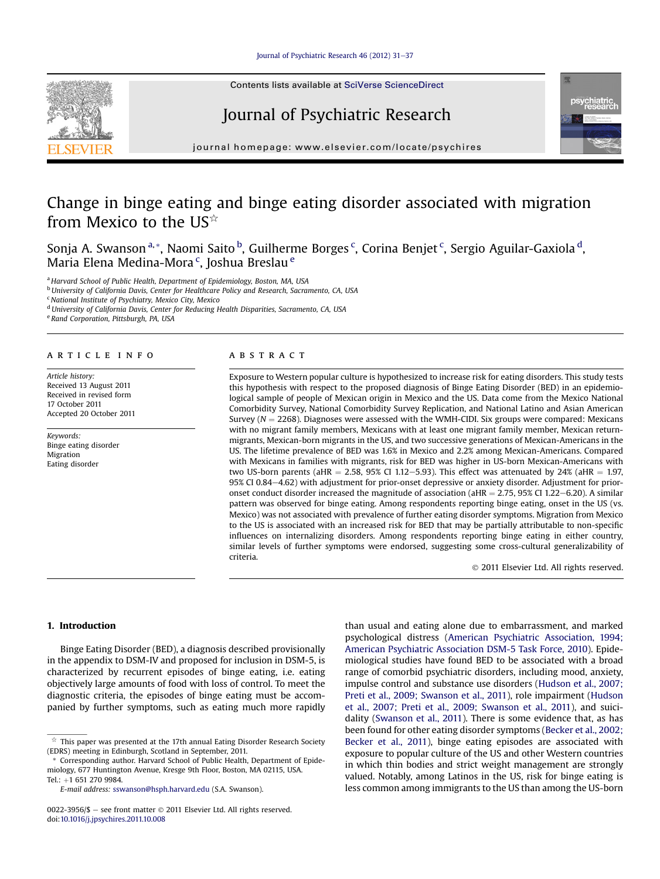#### Iournal of Psychiatric Research 46 (2012) 31-[37](http://dx.doi.org/10.1016/j.jpsychires.2011.10.008)

Contents lists available at SciVerse ScienceDirect

# Journal of Psychiatric Research



 $j<sub>i</sub>$  is a homepage: where  $i<sub>i</sub>$  is a company company

# Change in binge eating and binge eating disorder associated with migration from Mexico to the US $\hat{z}$

Sonja A. Swanson <sup>a, \*</sup>, Naomi Saito <sup>b</sup>, Guilherme Borges <sup>c</sup>, Corina Benjet <sup>c</sup>, Sergio Aguilar-Gaxiola <sup>d</sup>, Maria Elena Medina-Mora <sup>c</sup>, Joshua Breslau <sup>e</sup>

a Harvard School of Public Health, Department of Epidemiology, Boston, MA, USA

<sup>b</sup> University of California Davis, Center for Healthcare Policy and Research, Sacramento, CA, USA

 $c$  National Institute of Psychiatry, Mexico City, Mexico

<sup>d</sup> University of California Davis, Center for Reducing Health Disparities, Sacramento, CA, USA

<sup>e</sup> Rand Corporation, Pittsburgh, PA, USA

### article info

Article history: Received 13 August 2011 Received in revised form 17 October 2011 Accepted 20 October 2011

Keywords: Binge eating disorder Migration Eating disorder

## ABSTRACT

Exposure to Western popular culture is hypothesized to increase risk for eating disorders. This study tests this hypothesis with respect to the proposed diagnosis of Binge Eating Disorder (BED) in an epidemiological sample of people of Mexican origin in Mexico and the US. Data come from the Mexico National Comorbidity Survey, National Comorbidity Survey Replication, and National Latino and Asian American Survey ( $N = 2268$ ). Diagnoses were assessed with the WMH-CIDI. Six groups were compared: Mexicans with no migrant family members, Mexicans with at least one migrant family member, Mexican returnmigrants, Mexican-born migrants in the US, and two successive generations of Mexican-Americans in the US. The lifetime prevalence of BED was 1.6% in Mexico and 2.2% among Mexican-Americans. Compared with Mexicans in families with migrants, risk for BED was higher in US-born Mexican-Americans with two US-born parents (aHR = 2.58, 95% CI 1.12–5.93). This effect was attenuated by 24% (aHR = 1.97, 95% CI 0.84-4.62) with adjustment for prior-onset depressive or anxiety disorder. Adjustment for prioronset conduct disorder increased the magnitude of association ( $aHR = 2.75$ , 95% CI 1.22–6.20). A similar pattern was observed for binge eating. Among respondents reporting binge eating, onset in the US (vs. Mexico) was not associated with prevalence of further eating disorder symptoms. Migration from Mexico to the US is associated with an increased risk for BED that may be partially attributable to non-specific influences on internalizing disorders. Among respondents reporting binge eating in either country, similar levels of further symptoms were endorsed, suggesting some cross-cultural generalizability of criteria.

2011 Elsevier Ltd. All rights reserved.

#### 1. Introduction

Binge Eating Disorder (BED), a diagnosis described provisionally in the appendix to DSM-IV and proposed for inclusion in DSM-5, is characterized by recurrent episodes of binge eating, i.e. eating objectively large amounts of food with loss of control. To meet the diagnostic criteria, the episodes of binge eating must be accompanied by further symptoms, such as eating much more rapidly than usual and eating alone due to embarrassment, and marked psychological distress (American Psychiatric Association, 1994; American Psychiatric Association DSM-5 Task Force, 2010). Epidemiological studies have found BED to be associated with a broad range of comorbid psychiatric disorders, including mood, anxiety, impulse control and substance use disorders (Hudson et al., 2007; Preti et al., 2009; Swanson et al., 2011), role impairment (Hudson et al., 2007; Preti et al., 2009; Swanson et al., 2011), and suicidality (Swanson et al., 2011). There is some evidence that, as has been found for other eating disorder symptoms (Becker et al., 2002; Becker et al., 2011), binge eating episodes are associated with exposure to popular culture of the US and other Western countries in which thin bodies and strict weight management are strongly valued. Notably, among Latinos in the US, risk for binge eating is less common among immigrants to the US than among the US-born



 $\hat{\mathbb{X}}$  This paper was presented at the 17th annual Eating Disorder Research Society (EDRS) meeting in Edinburgh, Scotland in September, 2011.

Corresponding author. Harvard School of Public Health, Department of Epidemiology, 677 Huntington Avenue, Kresge 9th Floor, Boston, MA 02115, USA. Tel.: +1 651 270 9984.

E-mail address: [sswanson@hsph.harvard.edu](mailto:sswanson@hsph.harvard.edu) (S.A. Swanson).

<sup>0022-3956/\$</sup>  $-$  see front matter  $\odot$  2011 Elsevier Ltd. All rights reserved. doi[:10.1016/j.jpsychires.2011.10.008](http://dx.doi.org/10.1016/j.jpsychires.2011.10.008)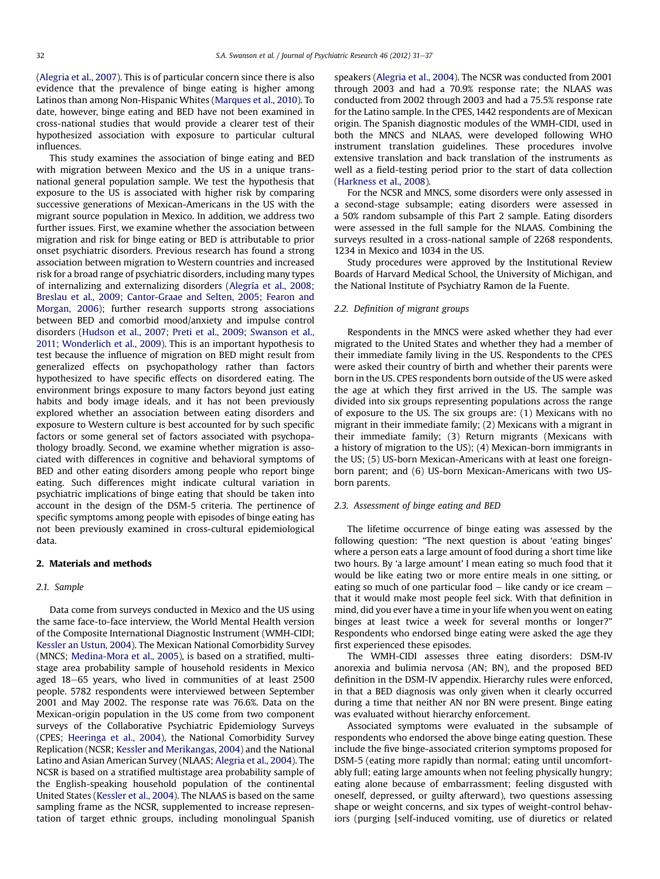(Alegria et al., 2007). This is of particular concern since there is also evidence that the prevalence of binge eating is higher among Latinos than among Non-Hispanic Whites (Marques et al., 2010). To date, however, binge eating and BED have not been examined in cross-national studies that would provide a clearer test of their hypothesized association with exposure to particular cultural influences.

This study examines the association of binge eating and BED with migration between Mexico and the US in a unique transnational general population sample. We test the hypothesis that exposure to the US is associated with higher risk by comparing successive generations of Mexican-Americans in the US with the migrant source population in Mexico. In addition, we address two further issues. First, we examine whether the association between migration and risk for binge eating or BED is attributable to prior onset psychiatric disorders. Previous research has found a strong association between migration to Western countries and increased risk for a broad range of psychiatric disorders, including many types of internalizing and externalizing disorders (Alegría et al., 2008; Breslau et al., 2009; Cantor-Graae and Selten, 2005; Fearon and Morgan, 2006); further research supports strong associations between BED and comorbid mood/anxiety and impulse control disorders (Hudson et al., 2007; Preti et al., 2009; Swanson et al., 2011; Wonderlich et al., 2009). This is an important hypothesis to test because the influence of migration on BED might result from generalized effects on psychopathology rather than factors hypothesized to have specific effects on disordered eating. The environment brings exposure to many factors beyond just eating habits and body image ideals, and it has not been previously explored whether an association between eating disorders and exposure to Western culture is best accounted for by such specific factors or some general set of factors associated with psychopathology broadly. Second, we examine whether migration is associated with differences in cognitive and behavioral symptoms of BED and other eating disorders among people who report binge eating. Such differences might indicate cultural variation in psychiatric implications of binge eating that should be taken into account in the design of the DSM-5 criteria. The pertinence of specific symptoms among people with episodes of binge eating has not been previously examined in cross-cultural epidemiological data.

#### 2. Materials and methods

#### 2.1. Sample

Data come from surveys conducted in Mexico and the US using the same face-to-face interview, the World Mental Health version of the Composite International Diagnostic Instrument (WMH-CIDI; Kessler an Ustun, 2004). The Mexican National Comorbidity Survey (MNCS; Medina-Mora et al., 2005), is based on a stratified, multistage area probability sample of household residents in Mexico aged  $18-65$  years, who lived in communities of at least  $2500$ people. 5782 respondents were interviewed between September 2001 and May 2002. The response rate was 76.6%. Data on the Mexican-origin population in the US come from two component surveys of the Collaborative Psychiatric Epidemiology Surveys (CPES; Heeringa et al., 2004), the National Comorbidity Survey Replication (NCSR; Kessler and Merikangas, 2004) and the National Latino and Asian American Survey (NLAAS; Alegria et al., 2004). The NCSR is based on a stratified multistage area probability sample of the English-speaking household population of the continental United States (Kessler et al., 2004). The NLAAS is based on the same sampling frame as the NCSR, supplemented to increase representation of target ethnic groups, including monolingual Spanish speakers (Alegria et al., 2004). The NCSR was conducted from 2001 through 2003 and had a 70.9% response rate; the NLAAS was conducted from 2002 through 2003 and had a 75.5% response rate for the Latino sample. In the CPES, 1442 respondents are of Mexican origin. The Spanish diagnostic modules of the WMH-CIDI, used in both the MNCS and NLAAS, were developed following WHO instrument translation guidelines. These procedures involve extensive translation and back translation of the instruments as well as a field-testing period prior to the start of data collection (Harkness et al., 2008).

For the NCSR and MNCS, some disorders were only assessed in a second-stage subsample; eating disorders were assessed in a 50% random subsample of this Part 2 sample. Eating disorders were assessed in the full sample for the NLAAS. Combining the surveys resulted in a cross-national sample of 2268 respondents, 1234 in Mexico and 1034 in the US.

Study procedures were approved by the Institutional Review Boards of Harvard Medical School, the University of Michigan, and the National Institute of Psychiatry Ramon de la Fuente.

#### 2.2. Definition of migrant groups

Respondents in the MNCS were asked whether they had ever migrated to the United States and whether they had a member of their immediate family living in the US. Respondents to the CPES were asked their country of birth and whether their parents were born in the US. CPES respondents born outside of the US were asked the age at which they first arrived in the US. The sample was divided into six groups representing populations across the range of exposure to the US. The six groups are: (1) Mexicans with no migrant in their immediate family; (2) Mexicans with a migrant in their immediate family; (3) Return migrants (Mexicans with a history of migration to the US); (4) Mexican-born immigrants in the US; (5) US-born Mexican-Americans with at least one foreignborn parent; and (6) US-born Mexican-Americans with two USborn parents.

#### 2.3. Assessment of binge eating and BED

The lifetime occurrence of binge eating was assessed by the following question: "The next question is about 'eating binges' where a person eats a large amount of food during a short time like two hours. By 'a large amount' I mean eating so much food that it would be like eating two or more entire meals in one sitting, or eating so much of one particular food  $-$  like candy or ice cream  $$ that it would make most people feel sick. With that definition in mind, did you ever have a time in your life when you went on eating binges at least twice a week for several months or longer?" Respondents who endorsed binge eating were asked the age they first experienced these episodes.

The WMH-CIDI assesses three eating disorders: DSM-IV anorexia and bulimia nervosa (AN; BN), and the proposed BED definition in the DSM-IV appendix. Hierarchy rules were enforced, in that a BED diagnosis was only given when it clearly occurred during a time that neither AN nor BN were present. Binge eating was evaluated without hierarchy enforcement.

Associated symptoms were evaluated in the subsample of respondents who endorsed the above binge eating question. These include the five binge-associated criterion symptoms proposed for DSM-5 (eating more rapidly than normal; eating until uncomfortably full; eating large amounts when not feeling physically hungry; eating alone because of embarrassment; feeling disgusted with oneself, depressed, or guilty afterward), two questions assessing shape or weight concerns, and six types of weight-control behaviors (purging [self-induced vomiting, use of diuretics or related